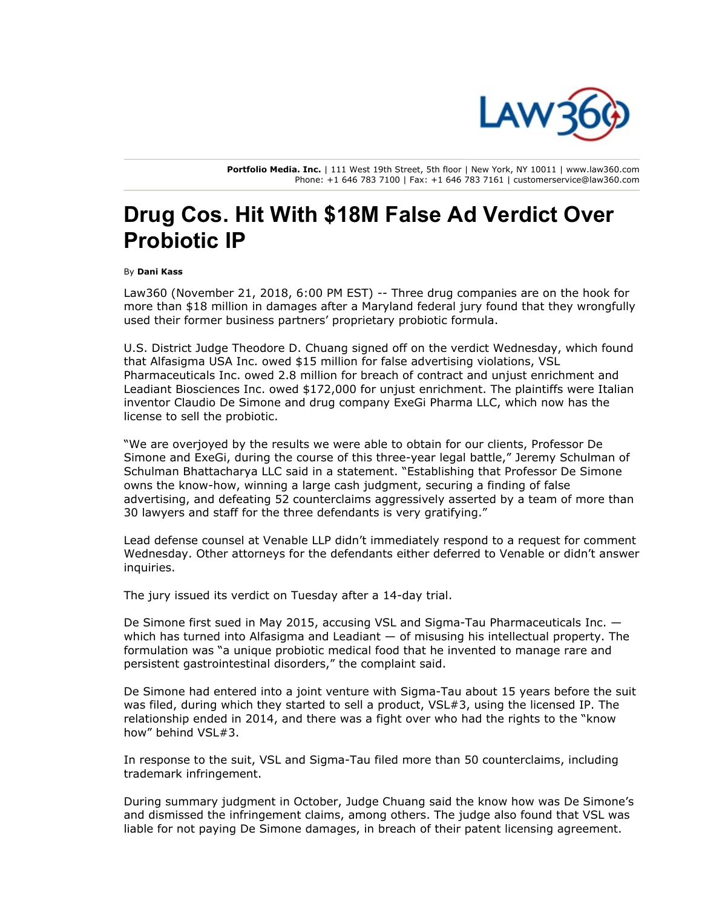

Portfolio Media. Inc. | 111 West 19th Street, 5th floor | New York, NY 10011 | www.law360.com Phone: +1 646 783 7100 | Fax: +1 646 783 7161 | customerservice@law360.com

## Drug Cos. Hit With \$18M False Ad Verdict Over Probiotic IP

## By Dani Kass

Law360 (November 21, 2018, 6:00 PM EST) -- Three drug companies are on the hook for more than \$18 million in damages after a Maryland federal jury found that they wrongfully used their former business partners' proprietary probiotic formula.

U.S. District Judge Theodore D. Chuang signed off on the verdict Wednesday, which found that Alfasigma USA Inc. owed \$15 million for false advertising violations, VSL Pharmaceuticals Inc. owed 2.8 million for breach of contract and unjust enrichment and Leadiant Biosciences Inc. owed \$172,000 for unjust enrichment. The plaintiffs were Italian inventor Claudio De Simone and drug company ExeGi Pharma LLC, which now has the license to sell the probiotic.

"We are overjoyed by the results we were able to obtain for our clients, Professor De Simone and ExeGi, during the course of this three-year legal battle," Jeremy Schulman of Schulman Bhattacharya LLC said in a statement. "Establishing that Professor De Simone owns the know-how, winning a large cash judgment, securing a finding of false advertising, and defeating 52 counterclaims aggressively asserted by a team of more than 30 lawyers and staff for the three defendants is very gratifying."

Lead defense counsel at Venable LLP didn't immediately respond to a request for comment Wednesday. Other attorneys for the defendants either deferred to Venable or didn't answer inquiries.

The jury issued its verdict on Tuesday after a 14-day trial.

De Simone first sued in May 2015, accusing VSL and Sigma-Tau Pharmaceuticals Inc. which has turned into Alfasigma and Leadiant — of misusing his intellectual property. The formulation was "a unique probiotic medical food that he invented to manage rare and persistent gastrointestinal disorders," the complaint said.

De Simone had entered into a joint venture with Sigma-Tau about 15 years before the suit was filed, during which they started to sell a product, VSL#3, using the licensed IP. The relationship ended in 2014, and there was a fight over who had the rights to the "know how" behind VSL#3.

In response to the suit, VSL and Sigma-Tau filed more than 50 counterclaims, including trademark infringement.

During summary judgment in October, Judge Chuang said the know how was De Simone's and dismissed the infringement claims, among others. The judge also found that VSL was liable for not paying De Simone damages, in breach of their patent licensing agreement.